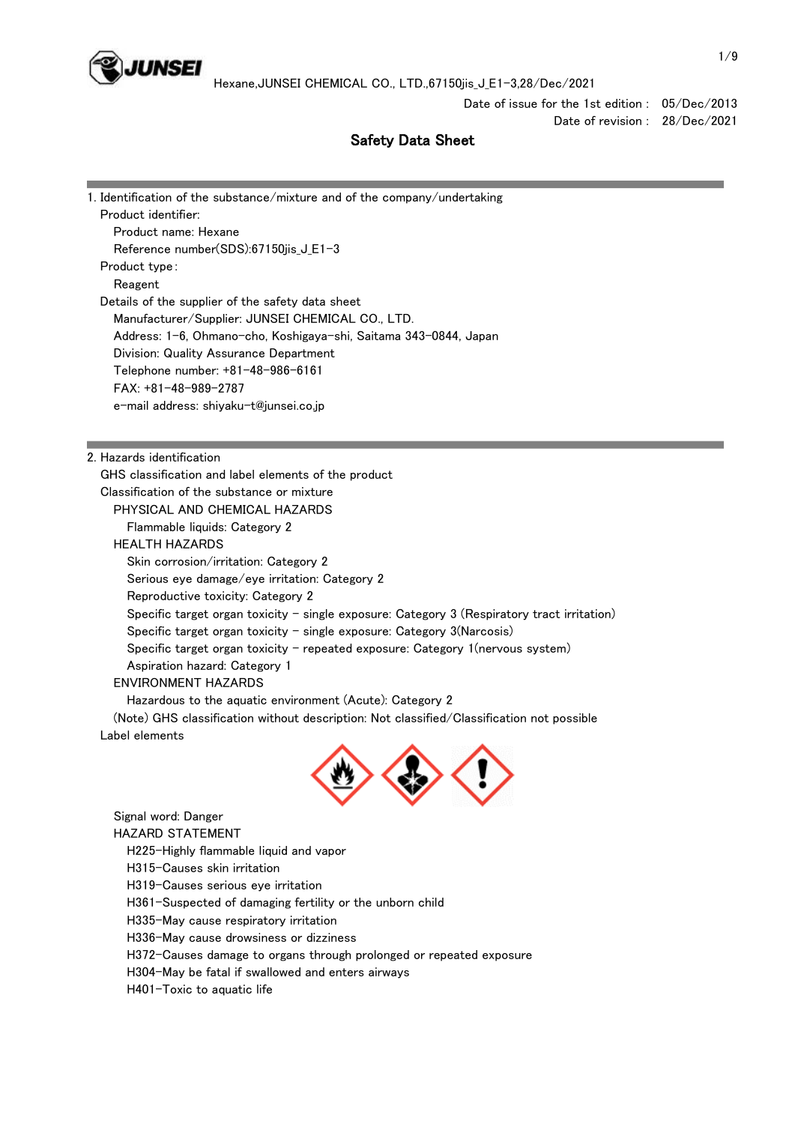

Date of issue for the 1st edition : 05/Dec/2013

Date of revision : 28/Dec/2021

# Safety Data Sheet

| 1. Identification of the substance/mixture and of the company/undertaking                   |
|---------------------------------------------------------------------------------------------|
| Product identifier:                                                                         |
| Product name: Hexane                                                                        |
| Reference number(SDS):67150jis_J_E1-3                                                       |
| Product type:                                                                               |
| Reagent                                                                                     |
| Details of the supplier of the safety data sheet                                            |
| Manufacturer/Supplier: JUNSEI CHEMICAL CO., LTD.                                            |
| Address: 1-6, Ohmano-cho, Koshigaya-shi, Saitama 343-0844, Japan                            |
| Division: Quality Assurance Department                                                      |
| Telephone number: +81-48-986-6161                                                           |
| $FAX: +81-48-989-2787$                                                                      |
| e-mail address: shiyaku-t@junsei.co.jp                                                      |
|                                                                                             |
|                                                                                             |
| 2. Hazards identification                                                                   |
| GHS classification and label elements of the product                                        |
| Classification of the substance or mixture                                                  |
| PHYSICAL AND CHEMICAL HAZARDS                                                               |
| Flammable liquids: Category 2                                                               |
| <b>HEALTH HAZARDS</b>                                                                       |
| Skin corrosion/irritation: Category 2                                                       |
| Serious eye damage/eye irritation: Category 2                                               |
| Reproductive toxicity: Category 2                                                           |
| Specific target organ toxicity - single exposure: Category 3 (Respiratory tract irritation) |
| Specific target organ toxicity $-$ single exposure: Category 3(Narcosis)                    |
| Specific target organ toxicity - repeated exposure: Category 1(nervous system)              |
| Aspiration hazard: Category 1                                                               |
| <b>ENVIRONMENT HAZARDS</b>                                                                  |
| Hazardous to the aquatic environment (Acute): Category 2                                    |
| (Note) GHS classification without description: Not classified/Classification not possible   |
| Label elements                                                                              |
|                                                                                             |
|                                                                                             |
|                                                                                             |
| Signal word: Danger                                                                         |
| <b>HAZARD STATEMENT</b>                                                                     |

 H225-Highly flammable liquid and vapor H315-Causes skin irritation H319-Causes serious eye irritation H361-Suspected of damaging fertility or the unborn child H335-May cause respiratory irritation

H336-May cause drowsiness or dizziness

H372-Causes damage to organs through prolonged or repeated exposure

H304-May be fatal if swallowed and enters airways

H401-Toxic to aquatic life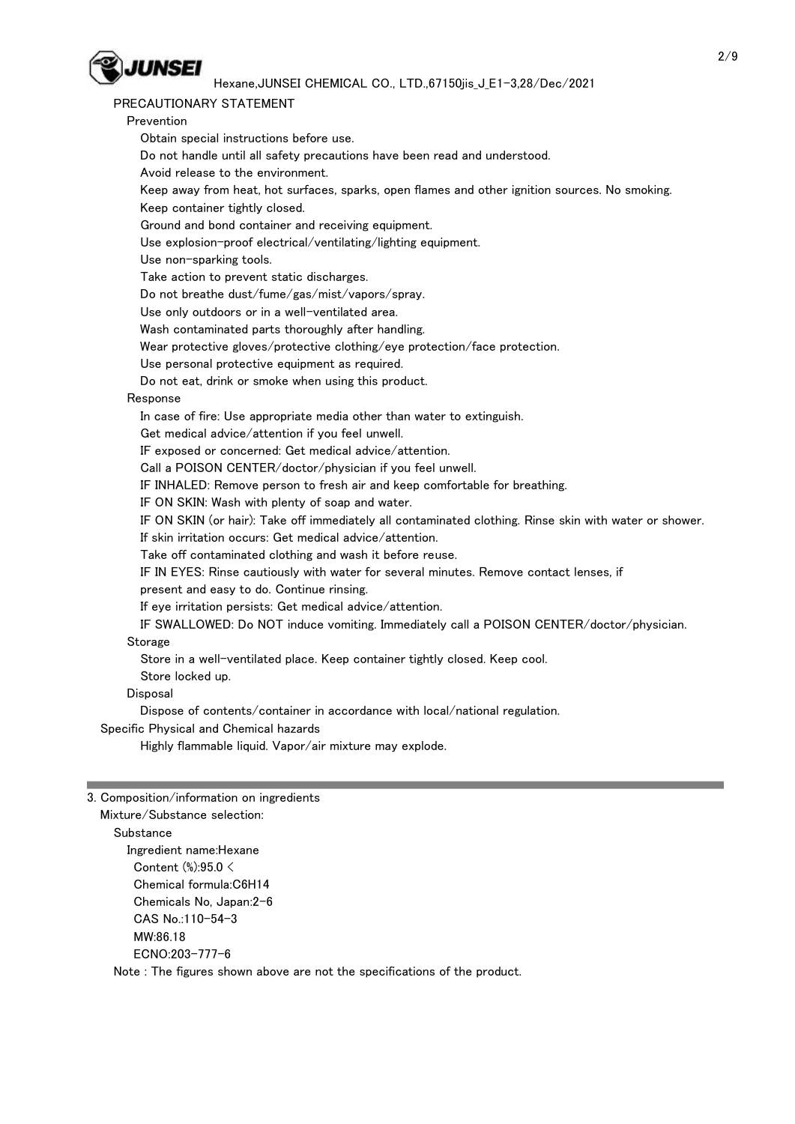

### PRECAUTIONARY STATEMENT

 Prevention Obtain special instructions before use. Do not handle until all safety precautions have been read and understood. Avoid release to the environment. Keep away from heat, hot surfaces, sparks, open flames and other ignition sources. No smoking. Keep container tightly closed. Ground and bond container and receiving equipment. Use explosion-proof electrical/ventilating/lighting equipment. Use non-sparking tools. Take action to prevent static discharges. Do not breathe dust/fume/gas/mist/vapors/spray. Use only outdoors or in a well-ventilated area. Wash contaminated parts thoroughly after handling. Wear protective gloves/protective clothing/eye protection/face protection. Use personal protective equipment as required. Do not eat, drink or smoke when using this product. Response In case of fire: Use appropriate media other than water to extinguish. Get medical advice/attention if you feel unwell. IF exposed or concerned: Get medical advice/attention. Call a POISON CENTER/doctor/physician if you feel unwell. IF INHALED: Remove person to fresh air and keep comfortable for breathing. IF ON SKIN: Wash with plenty of soap and water. IF ON SKIN (or hair): Take off immediately all contaminated clothing. Rinse skin with water or shower. If skin irritation occurs: Get medical advice/attention. Take off contaminated clothing and wash it before reuse. IF IN EYES: Rinse cautiously with water for several minutes. Remove contact lenses, if present and easy to do. Continue rinsing. If eye irritation persists: Get medical advice/attention. IF SWALLOWED: Do NOT induce vomiting. Immediately call a POISON CENTER/doctor/physician. Storage Store in a well-ventilated place. Keep container tightly closed. Keep cool. Store locked up. Disposal Dispose of contents/container in accordance with local/national regulation. Specific Physical and Chemical hazards Highly flammable liquid. Vapor/air mixture may explode. 3. Composition/information on ingredients

 Mixture/Substance selection: **Substance**  Ingredient name:Hexane Content (%):95.0 < Chemical formula:C6H14 Chemicals No, Japan:2-6 CAS No.:110-54-3 MW:86.18 ECNO:203-777-6 Note : The figures shown above are not the specifications of the product.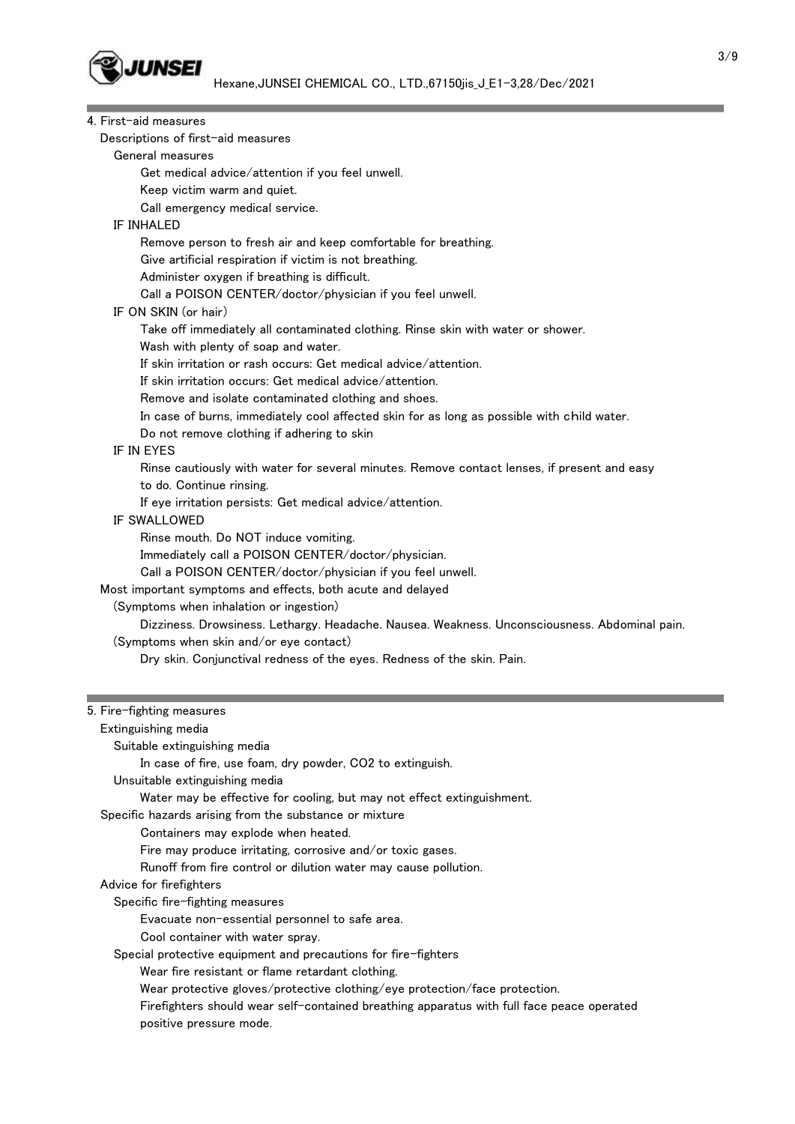

4. First-aid measures

|                   | Descriptions of first-aid measures                                                            |
|-------------------|-----------------------------------------------------------------------------------------------|
|                   | General measures                                                                              |
|                   | Get medical advice/attention if you feel unwell.                                              |
|                   | Keep victim warm and quiet.                                                                   |
|                   | Call emergency medical service.                                                               |
| <b>IF INHALED</b> |                                                                                               |
|                   | Remove person to fresh air and keep comfortable for breathing.                                |
|                   | Give artificial respiration if victim is not breathing.                                       |
|                   | Administer oxygen if breathing is difficult.                                                  |
|                   | Call a POISON CENTER/doctor/physician if you feel unwell.                                     |
|                   | IF ON SKIN (or hair)                                                                          |
|                   | Take off immediately all contaminated clothing. Rinse skin with water or shower.              |
|                   | Wash with plenty of soap and water.                                                           |
|                   | If skin irritation or rash occurs: Get medical advice/attention.                              |
|                   | If skin irritation occurs: Get medical advice/attention.                                      |
|                   | Remove and isolate contaminated clothing and shoes.                                           |
|                   | In case of burns, immediately cool affected skin for as long as possible with child water.    |
|                   | Do not remove clothing if adhering to skin                                                    |
| IF IN EYES        |                                                                                               |
|                   | Rinse cautiously with water for several minutes. Remove contact lenses, if present and easy   |
|                   | to do. Continue rinsing.                                                                      |
|                   | If eye irritation persists: Get medical advice/attention.                                     |
|                   | IF SWALLOWED                                                                                  |
|                   | Rinse mouth. Do NOT induce vomiting.                                                          |
|                   | Immediately call a POISON CENTER/doctor/physician.                                            |
|                   | Call a POISON CENTER/doctor/physician if you feel unwell.                                     |
|                   | Most important symptoms and effects, both acute and delayed                                   |
|                   | (Symptoms when inhalation or ingestion)                                                       |
|                   | Dizziness. Drowsiness. Lethargy. Headache. Nausea. Weakness. Unconsciousness. Abdominal pain. |
|                   | (Symptoms when skin and/or eye contact)                                                       |
|                   | Dry skin. Conjunctival redness of the eyes. Redness of the skin. Pain.                        |
|                   |                                                                                               |
|                   |                                                                                               |
|                   | 5. Fire-fighting measures                                                                     |
|                   | Extinguishing media                                                                           |
|                   | Suitable extinguishing media                                                                  |
|                   | In case of fire, use foam, dry powder, CO2 to extinguish.                                     |
|                   | Unsuitable extinguishing media                                                                |
|                   | Water may be effective for cooling, but may not effect extinguishment.                        |
|                   | Specific hazards arising from the substance or mixture                                        |
|                   | Containers may explode when heated.                                                           |
|                   | Fire may produce irritating, corrosive and/or toxic gases.                                    |
|                   | Runoff from fire control or dilution water may cause pollution.                               |
|                   | Advice for firefighters                                                                       |
|                   | Specific fire-fighting measures                                                               |
|                   | Evacuate non-essential personnel to safe area.                                                |
|                   | Cool container with water spray.                                                              |
|                   | Special protective equipment and precautions for fire-fighters                                |
|                   | Wear fire resistant or flame retardant clothing.                                              |
|                   | Wear protective gloves/protective clothing/eye protection/face protection.                    |
|                   | Firefighters should wear self-contained breathing apparatus with full face peace operated     |
|                   | positive pressure mode.                                                                       |
|                   |                                                                                               |

٠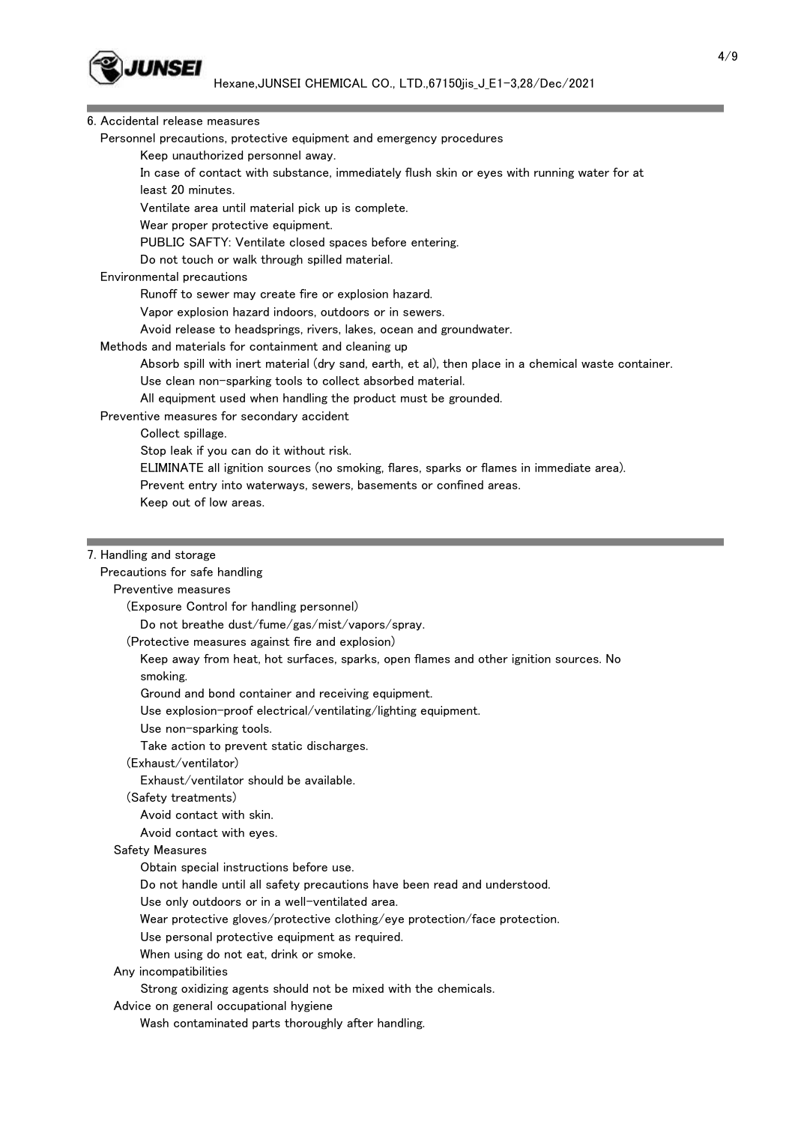

### 6. Accidental release measures

Personnel precautions, protective equipment and emergency procedures

Keep unauthorized personnel away.

 In case of contact with substance, immediately flush skin or eyes with running water for at least 20 minutes.

Ventilate area until material pick up is complete.

Wear proper protective equipment.

PUBLIC SAFTY: Ventilate closed spaces before entering.

Do not touch or walk through spilled material.

### Environmental precautions

Runoff to sewer may create fire or explosion hazard.

Vapor explosion hazard indoors, outdoors or in sewers.

Avoid release to headsprings, rivers, lakes, ocean and groundwater.

### Methods and materials for containment and cleaning up

Absorb spill with inert material (dry sand, earth, et al), then place in a chemical waste container.

Use clean non-sparking tools to collect absorbed material.

All equipment used when handling the product must be grounded.

### Preventive measures for secondary accident

Collect spillage.

Stop leak if you can do it without risk.

ELIMINATE all ignition sources (no smoking, flares, sparks or flames in immediate area).

Prevent entry into waterways, sewers, basements or confined areas.

Keep out of low areas.

### 7. Handling and storage

### Precautions for safe handling

### Preventive measures

(Exposure Control for handling personnel)

Do not breathe dust/fume/gas/mist/vapors/spray.

(Protective measures against fire and explosion)

 Keep away from heat, hot surfaces, sparks, open flames and other ignition sources. No smoking.

Ground and bond container and receiving equipment.

Use explosion-proof electrical/ventilating/lighting equipment.

Use non-sparking tools.

Take action to prevent static discharges.

(Exhaust/ventilator)

Exhaust/ventilator should be available.

(Safety treatments)

Avoid contact with skin.

Avoid contact with eyes.

### Safety Measures

Obtain special instructions before use.

Do not handle until all safety precautions have been read and understood.

Use only outdoors or in a well-ventilated area.

Wear protective gloves/protective clothing/eye protection/face protection.

Use personal protective equipment as required.

When using do not eat, drink or smoke.

Any incompatibilities

Strong oxidizing agents should not be mixed with the chemicals.

Advice on general occupational hygiene

Wash contaminated parts thoroughly after handling.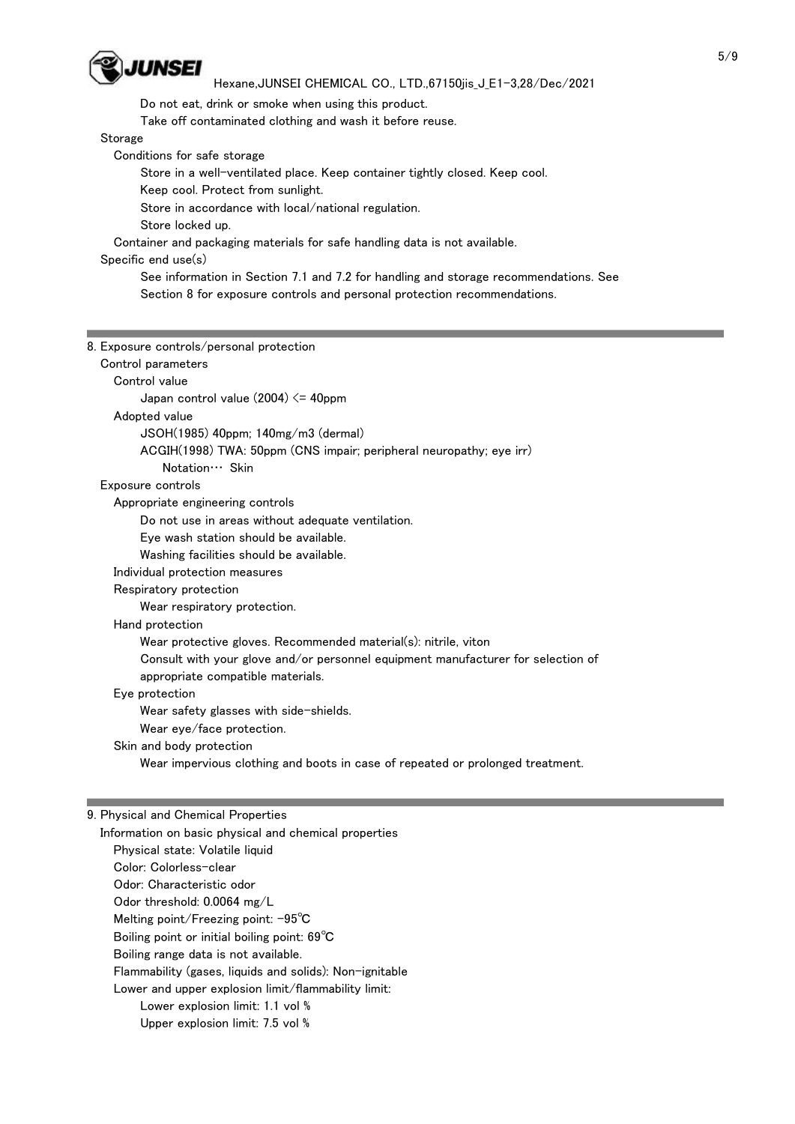

Do not eat, drink or smoke when using this product.

Take off contaminated clothing and wash it before reuse.

Storage

Conditions for safe storage

Store in a well-ventilated place. Keep container tightly closed. Keep cool.

Keep cool. Protect from sunlight.

Store in accordance with local/national regulation.

Store locked up.

Container and packaging materials for safe handling data is not available.

# Specific end use(s)

 See information in Section 7.1 and 7.2 for handling and storage recommendations. See Section 8 for exposure controls and personal protection recommendations.

| 8. Exposure controls/personal protection                                         |
|----------------------------------------------------------------------------------|
| Control parameters                                                               |
| Control value                                                                    |
| Japan control value $(2004) \leq 40$ ppm                                         |
| Adopted value                                                                    |
| $JSOH(1985)$ 40ppm; 140mg/m3 (dermal)                                            |
| ACGIH(1998) TWA: 50ppm (CNS impair; peripheral neuropathy; eye irr)              |
| Notation ··· Skin                                                                |
| Exposure controls                                                                |
| Appropriate engineering controls                                                 |
| Do not use in areas without adequate ventilation.                                |
| Eye wash station should be available.                                            |
| Washing facilities should be available.                                          |
| Individual protection measures                                                   |
| Respiratory protection                                                           |
| Wear respiratory protection.                                                     |
| Hand protection                                                                  |
| Wear protective gloves. Recommended material(s): nitrile, viton                  |
| Consult with your glove and/or personnel equipment manufacturer for selection of |
| appropriate compatible materials.                                                |
| Eye protection                                                                   |
| Wear safety glasses with side-shields.                                           |
| Wear eye/face protection.                                                        |
| Skin and body protection                                                         |
| Wear impervious clothing and boots in case of repeated or prolonged treatment.   |
|                                                                                  |
|                                                                                  |

### 9. Physical and Chemical Properties

 Information on basic physical and chemical properties Physical state: Volatile liquid Color: Colorless-clear Odor: Characteristic odor Odor threshold: 0.0064 mg/L Melting point/Freezing point: -95℃ Boiling point or initial boiling point: 69℃ Boiling range data is not available. Flammability (gases, liquids and solids): Non-ignitable Lower and upper explosion limit/flammability limit: Lower explosion limit: 1.1 vol % Upper explosion limit: 7.5 vol %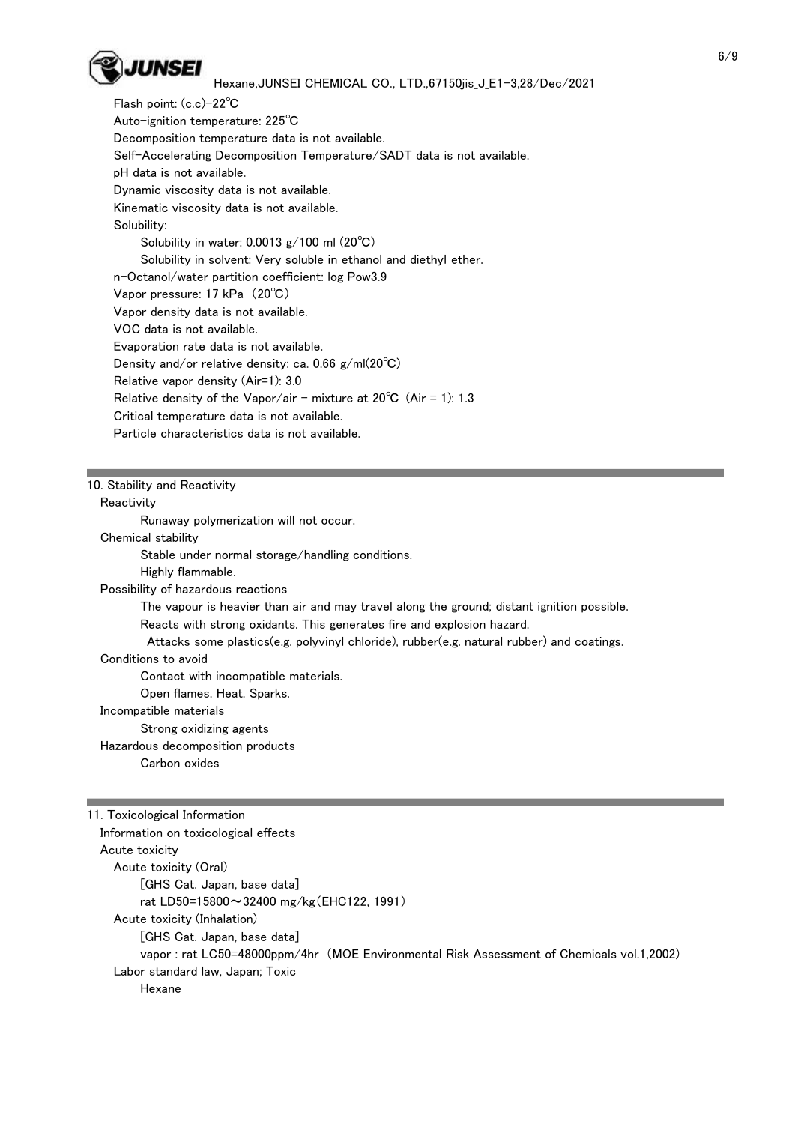

 Flash point: (c.c)-22℃ Auto-ignition temperature: 225℃ Decomposition temperature data is not available. Self-Accelerating Decomposition Temperature/SADT data is not available. pH data is not available. Dynamic viscosity data is not available. Kinematic viscosity data is not available. Solubility: Solubility in water: 0.0013 g/100 ml (20℃) Solubility in solvent: Very soluble in ethanol and diethyl ether. n-Octanol/water partition coefficient: log Pow3.9 Vapor pressure: 17 kPa (20℃) Vapor density data is not available. VOC data is not available. Evaporation rate data is not available. Density and/or relative density: ca. 0.66 g/ml(20℃) Relative vapor density (Air=1): 3.0 Relative density of the Vapor/air - mixture at  $20^{\circ}$ C (Air = 1): 1.3 Critical temperature data is not available. Particle characteristics data is not available.

### 10. Stability and Reactivity

### **Reactivity**

Runaway polymerization will not occur.

#### Chemical stability

Stable under normal storage/handling conditions.

Highly flammable.

Possibility of hazardous reactions

The vapour is heavier than air and may travel along the ground; distant ignition possible.

Reacts with strong oxidants. This generates fire and explosion hazard.

Attacks some plastics(e.g. polyvinyl chloride), rubber(e.g. natural rubber) and coatings.

### Conditions to avoid

Contact with incompatible materials.

Open flames. Heat. Sparks.

### Incompatible materials

Strong oxidizing agents

### Hazardous decomposition products

Carbon oxides

11. Toxicological Information Information on toxicological effects Acute toxicity Acute toxicity (Oral) [GHS Cat. Japan, base data] rat LD50=15800~32400 mg/kg(EHC122, 1991) Acute toxicity (Inhalation) [GHS Cat. Japan, base data] vapor : rat LC50=48000ppm/4hr (MOE Environmental Risk Assessment of Chemicals vol.1,2002) Labor standard law, Japan; Toxic Hexane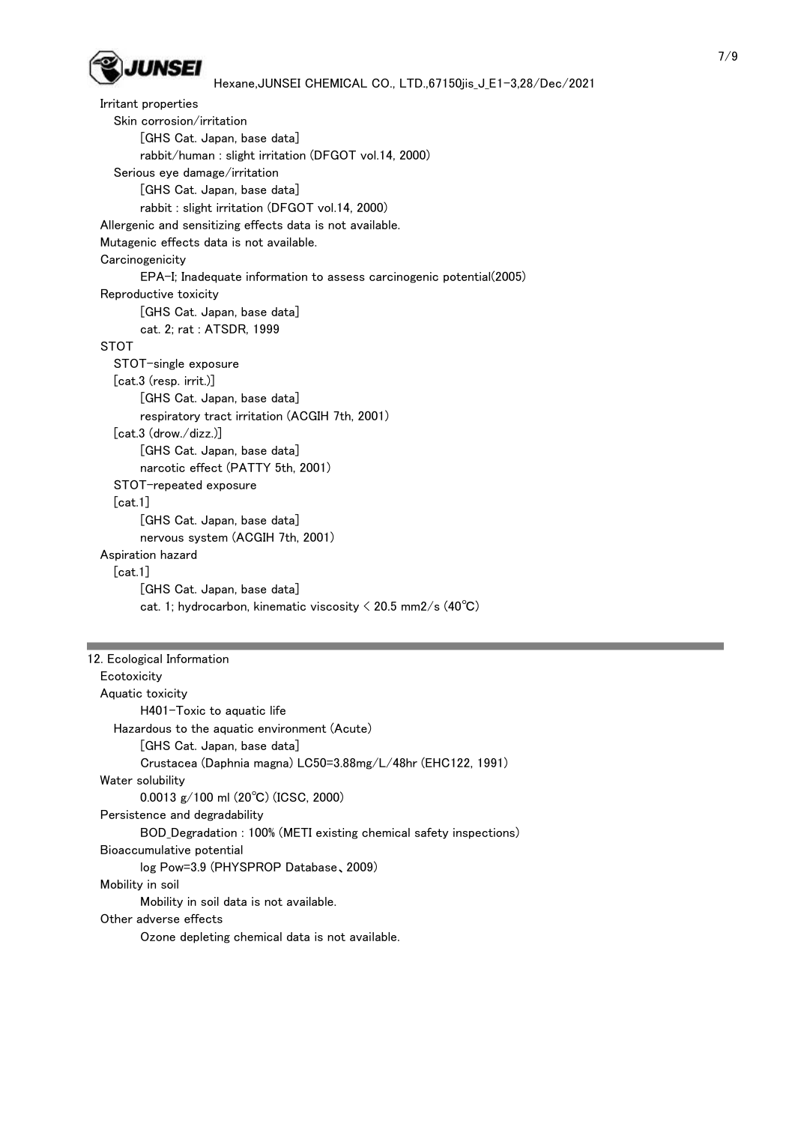

```
 Irritant properties
   Skin corrosion/irritation
        [GHS Cat. Japan, base data]
        rabbit/human : slight irritation (DFGOT vol.14, 2000)
   Serious eye damage/irritation
        [GHS Cat. Japan, base data]
        rabbit : slight irritation (DFGOT vol.14, 2000)
 Allergenic and sensitizing effects data is not available.
 Mutagenic effects data is not available.
Carcinogenicity
        EPA-I; Inadequate information to assess carcinogenic potential(2005)
 Reproductive toxicity
        [GHS Cat. Japan, base data]
        cat. 2; rat : ATSDR, 1999
 STOT
   STOT-single exposure
   [cat.3 (resp. irrit.)]
        [GHS Cat. Japan, base data]
        respiratory tract irritation (ACGIH 7th, 2001)
   [cat.3 (drow./dizz.)]
        [GHS Cat. Japan, base data]
        narcotic effect (PATTY 5th, 2001)
   STOT-repeated exposure
   [cat.1]
        [GHS Cat. Japan, base data]
        nervous system (ACGIH 7th, 2001)
 Aspiration hazard
   [cat.1]
        [GHS Cat. Japan, base data]
       cat. 1; hydrocarbon, kinematic viscosity \langle 20.5 \text{ mm2/s} (40^{\circ}\text{C})
```

```
12. Ecological Information
 Ecotoxicity
   Aquatic toxicity
          H401-Toxic to aquatic life
     Hazardous to the aquatic environment (Acute)
          [GHS Cat. Japan, base data]
          Crustacea (Daphnia magna) LC50=3.88mg/L/48hr (EHC122, 1991)
  Water solubility
          0.0013 g/100 ml (20℃) (ICSC, 2000)
  Persistence and degradability
          BOD_Degradation : 100% (METI existing chemical safety inspections)
  Bioaccumulative potential
          log Pow=3.9 (PHYSPROP Database、2009)
   Mobility in soil
          Mobility in soil data is not available.
   Other adverse effects
          Ozone depleting chemical data is not available.
```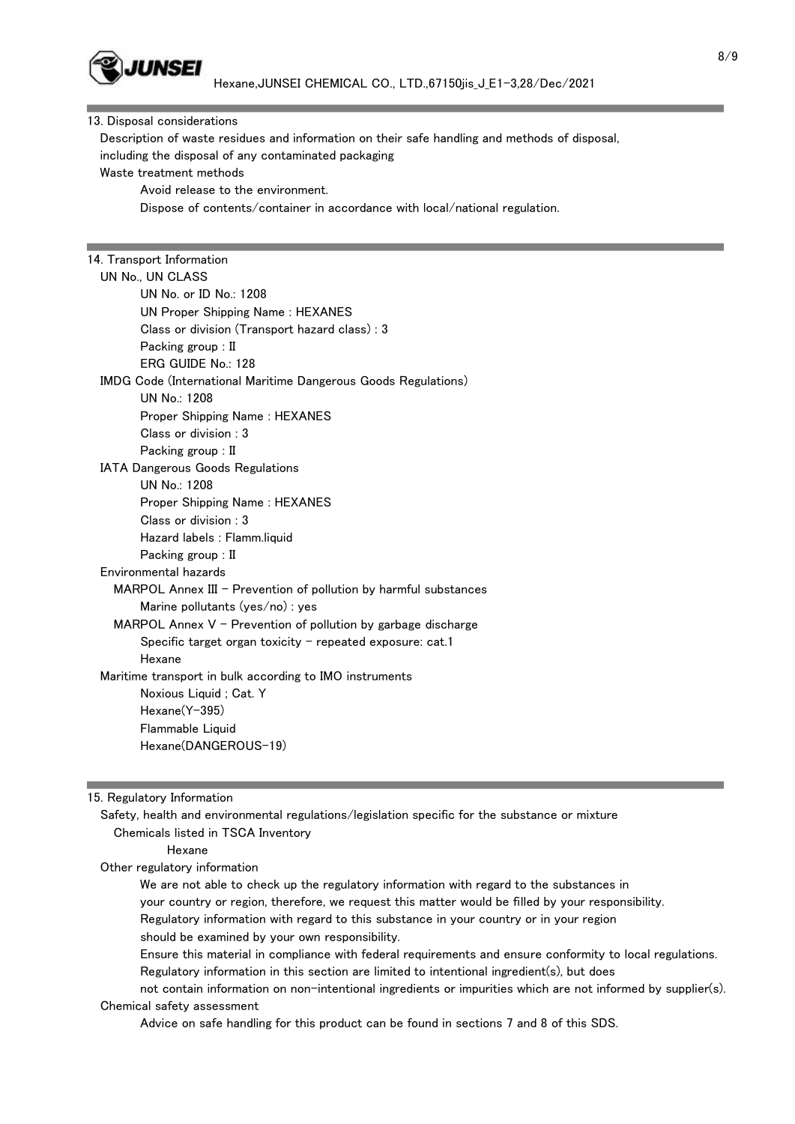

#### 8/9

#### 13. Disposal considerations

 Description of waste residues and information on their safe handling and methods of disposal, including the disposal of any contaminated packaging

Waste treatment methods

Avoid release to the environment.

Dispose of contents/container in accordance with local/national regulation.

# 14. Transport Information

| UN No., UN CLASS                                                 |
|------------------------------------------------------------------|
| UN No. or ID No.: 1208                                           |
| <b>UN Proper Shipping Name: HEXANES</b>                          |
| Class or division (Transport hazard class) : 3                   |
| Packing group : II                                               |
| ERG GUIDE No.: 128                                               |
| IMDG Code (International Maritime Dangerous Goods Regulations)   |
| UN No.: 1208                                                     |
| Proper Shipping Name: HEXANES                                    |
| Class or division : 3                                            |
| Packing group : II                                               |
| <b>IATA Dangerous Goods Regulations</b>                          |
| UN No.: 1208                                                     |
| Proper Shipping Name: HEXANES                                    |
| Class or division : 3                                            |
| Hazard labels: Flamm.liquid                                      |
| Packing group : II                                               |
| Environmental hazards                                            |
| MARPOL Annex III - Prevention of pollution by harmful substances |
| Marine pollutants $(yes/no)$ : yes                               |
| MARPOL Annex $V$ – Prevention of pollution by garbage discharge  |
| Specific target organ toxicity $-$ repeated exposure: cat.1      |
| Hexane                                                           |
| Maritime transport in bulk according to IMO instruments          |
| Noxious Liquid; Cat. Y                                           |
| Hexane(Y-395)                                                    |
| Flammable Liquid                                                 |
| Hexane(DANGEROUS-19)                                             |
|                                                                  |

### 15. Regulatory Information

 Safety, health and environmental regulations/legislation specific for the substance or mixture Chemicals listed in TSCA Inventory

#### Hexane

Other regulatory information

 We are not able to check up the regulatory information with regard to the substances in your country or region, therefore, we request this matter would be filled by your responsibility. Regulatory information with regard to this substance in your country or in your region should be examined by your own responsibility.

 Ensure this material in compliance with federal requirements and ensure conformity to local regulations. Regulatory information in this section are limited to intentional ingredient(s), but does

 not contain information on non-intentional ingredients or impurities which are not informed by supplier(s). Chemical safety assessment

Advice on safe handling for this product can be found in sections 7 and 8 of this SDS.